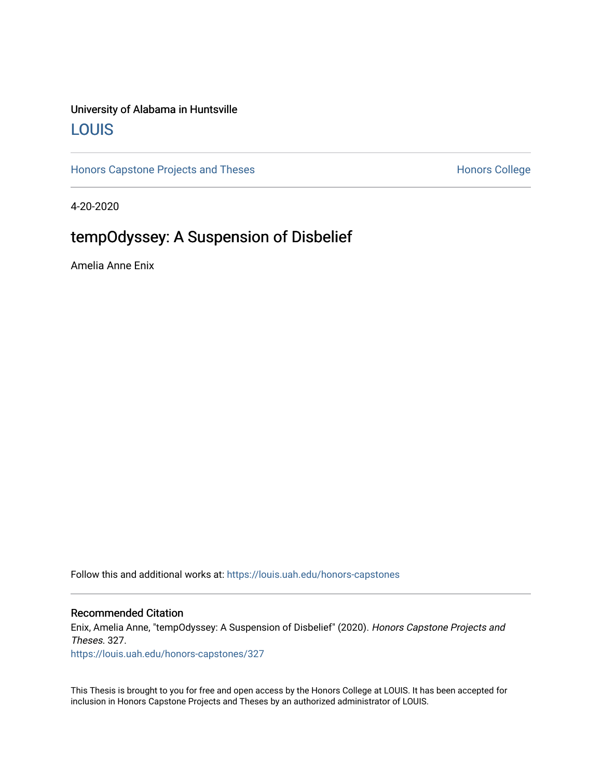## University of Alabama in Huntsville [LOUIS](https://louis.uah.edu/)

[Honors Capstone Projects and Theses](https://louis.uah.edu/honors-capstones) **Honors College** Honors College

4-20-2020

## tempOdyssey: A Suspension of Disbelief

Amelia Anne Enix

Follow this and additional works at: [https://louis.uah.edu/honors-capstones](https://louis.uah.edu/honors-capstones?utm_source=louis.uah.edu%2Fhonors-capstones%2F327&utm_medium=PDF&utm_campaign=PDFCoverPages) 

#### Recommended Citation

Enix, Amelia Anne, "tempOdyssey: A Suspension of Disbelief" (2020). Honors Capstone Projects and Theses. 327.

[https://louis.uah.edu/honors-capstones/327](https://louis.uah.edu/honors-capstones/327?utm_source=louis.uah.edu%2Fhonors-capstones%2F327&utm_medium=PDF&utm_campaign=PDFCoverPages) 

This Thesis is brought to you for free and open access by the Honors College at LOUIS. It has been accepted for inclusion in Honors Capstone Projects and Theses by an authorized administrator of LOUIS.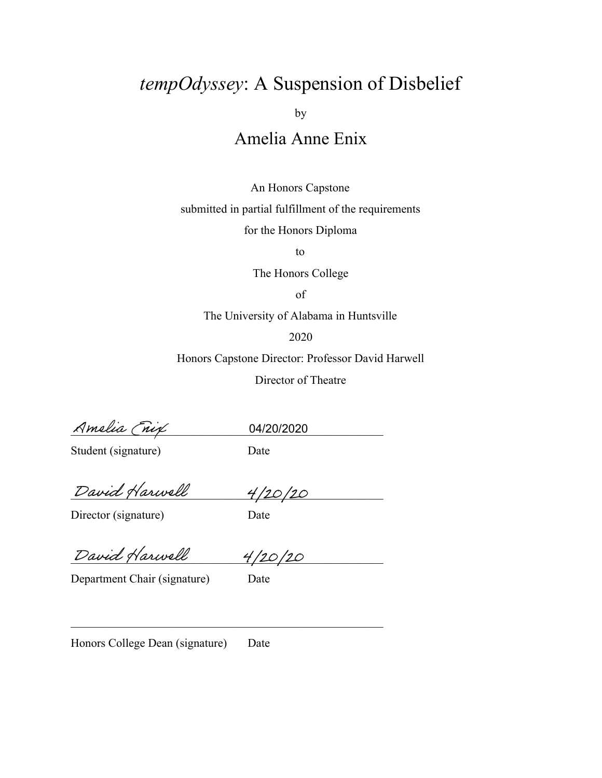# *tempOdyssey*: A Suspension of Disbelief

by

## Amelia Anne Enix

An Honors Capstone

submitted in partial fulfillment of the requirements

for the Honors Diploma

to

The Honors College

of

The University of Alabama in Huntsville

2020

Honors Capstone Director: Professor David Harwell

Director of Theatre

Amelia (nix

04/20/2020

Student (signature) Date

David Harwell 4/20/20

Director (signature) Date

David Harwell 4/20/20

Department Chair (signature) Date

 $\mathcal{L}_\text{max}$  , and the contract of the contract of the contract of the contract of the contract of the contract of

Honors College Dean (signature) Date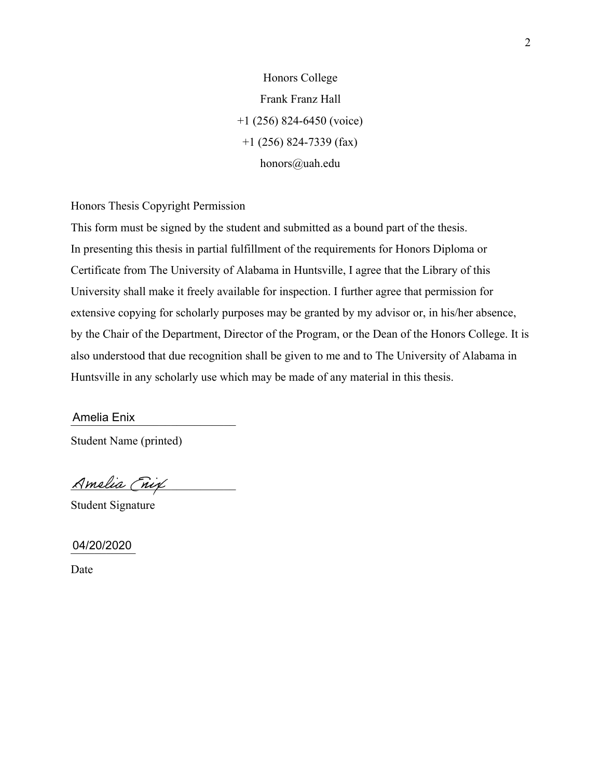Honors College Frank Franz Hall +1 (256) 824-6450 (voice) +1 (256) 824-7339 (fax) honors@uah.edu

Honors Thesis Copyright Permission

This form must be signed by the student and submitted as a bound part of the thesis. In presenting this thesis in partial fulfillment of the requirements for Honors Diploma or Certificate from The University of Alabama in Huntsville, I agree that the Library of this University shall make it freely available for inspection. I further agree that permission for extensive copying for scholarly purposes may be granted by my advisor or, in his/her absence, by the Chair of the Department, Director of the Program, or the Dean of the Honors College. It is also understood that due recognition shall be given to me and to The University of Alabama in Huntsville in any scholarly use which may be made of any material in this thesis.

\_\_\_\_\_\_\_\_\_\_\_\_\_\_\_\_\_\_\_\_\_\_\_\_\_\_\_\_ Amelia Enix

Student Name (printed)

Amelia (nix

Student Signature

\_\_\_\_\_\_\_\_\_\_\_ 04/20/2020

Date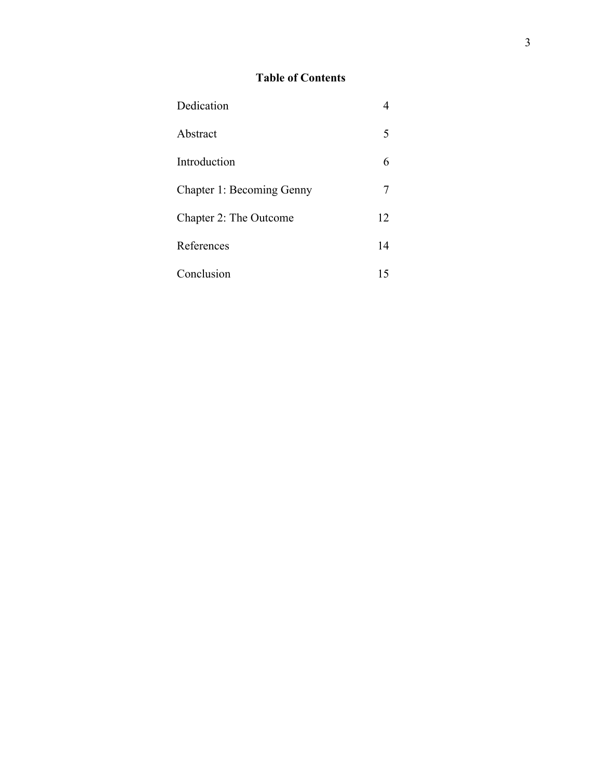### **Table of Contents**

| Dedication                       |    |
|----------------------------------|----|
| Abstract                         | 5  |
| Introduction                     | 6  |
| <b>Chapter 1: Becoming Genny</b> |    |
| Chapter 2: The Outcome           | 12 |
| References                       | 14 |
| Conclusion                       | 15 |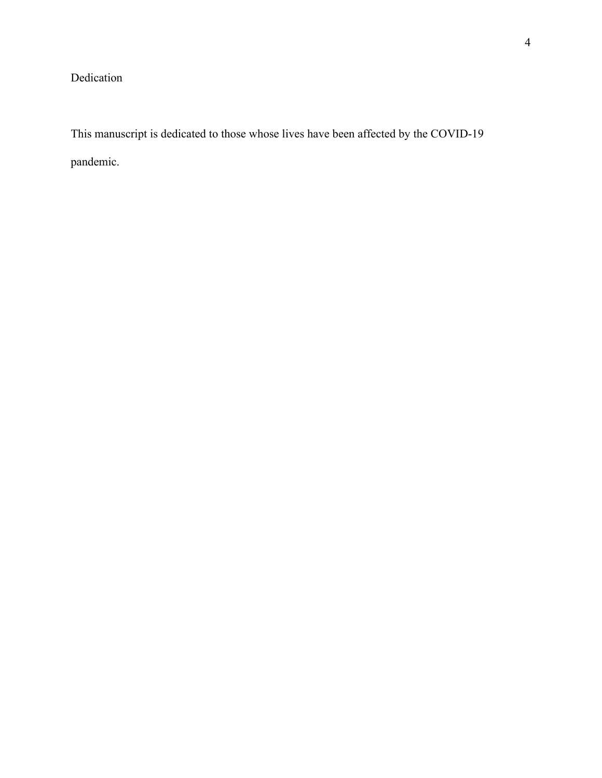### Dedication

This manuscript is dedicated to those whose lives have been affected by the COVID-19 pandemic.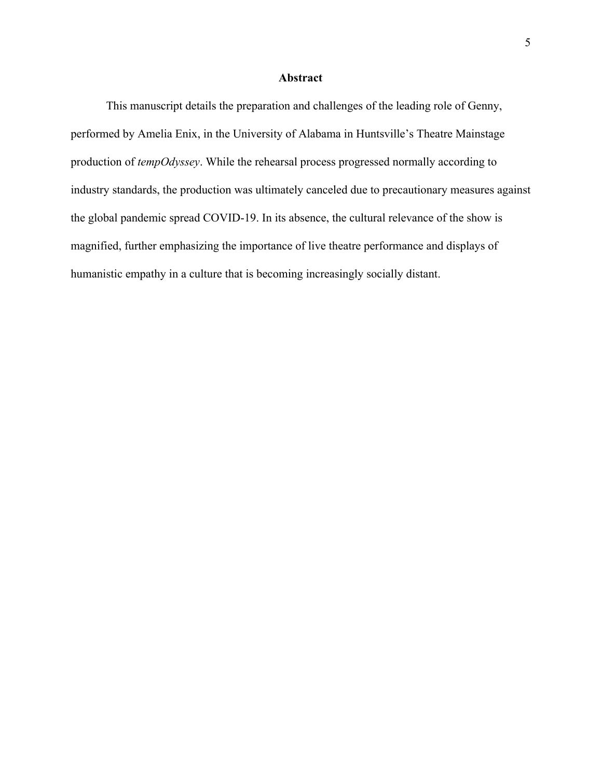#### **Abstract**

This manuscript details the preparation and challenges of the leading role of Genny, performed by Amelia Enix, in the University of Alabama in Huntsville's Theatre Mainstage production of *tempOdyssey*. While the rehearsal process progressed normally according to industry standards, the production was ultimately canceled due to precautionary measures against the global pandemic spread COVID-19. In its absence, the cultural relevance of the show is magnified, further emphasizing the importance of live theatre performance and displays of humanistic empathy in a culture that is becoming increasingly socially distant.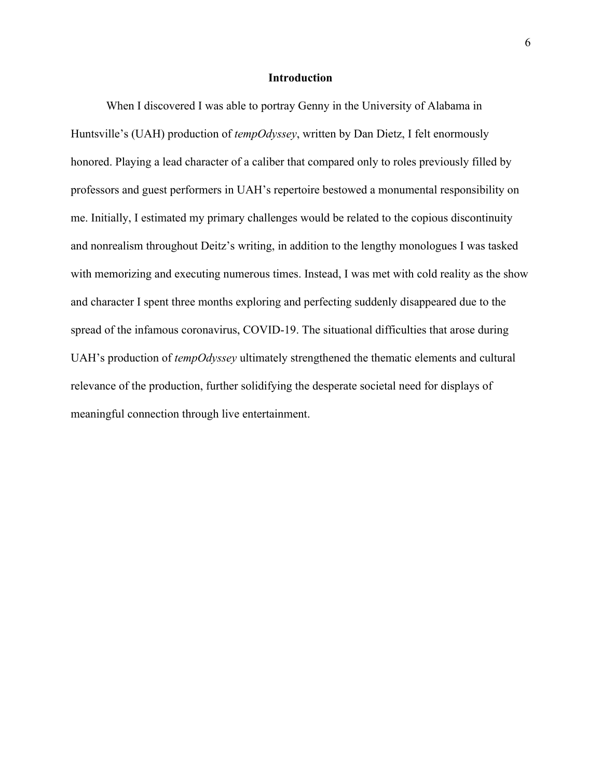#### **Introduction**

When I discovered I was able to portray Genny in the University of Alabama in Huntsville's (UAH) production of *tempOdyssey*, written by Dan Dietz, I felt enormously honored. Playing a lead character of a caliber that compared only to roles previously filled by professors and guest performers in UAH's repertoire bestowed a monumental responsibility on me. Initially, I estimated my primary challenges would be related to the copious discontinuity and nonrealism throughout Deitz's writing, in addition to the lengthy monologues I was tasked with memorizing and executing numerous times. Instead, I was met with cold reality as the show and character I spent three months exploring and perfecting suddenly disappeared due to the spread of the infamous coronavirus, COVID-19. The situational difficulties that arose during UAH's production of *tempOdyssey* ultimately strengthened the thematic elements and cultural relevance of the production, further solidifying the desperate societal need for displays of meaningful connection through live entertainment.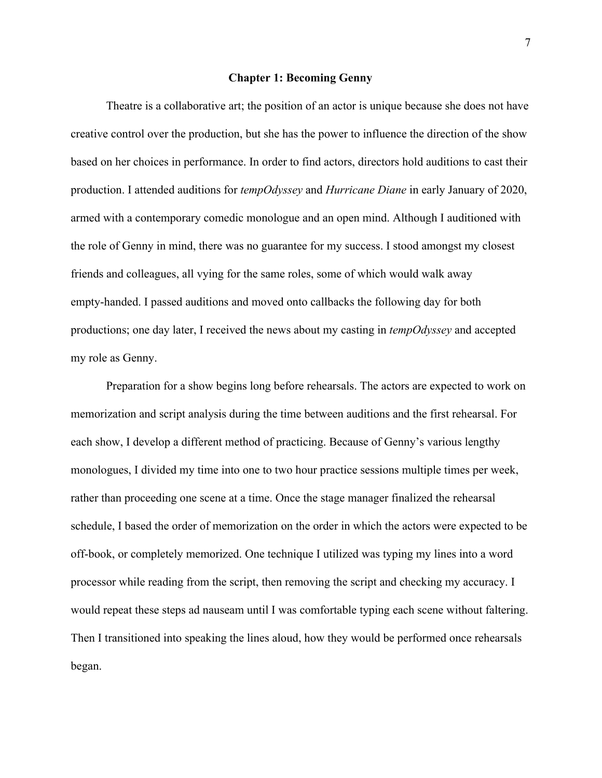#### **Chapter 1: Becoming Genny**

Theatre is a collaborative art; the position of an actor is unique because she does not have creative control over the production, but she has the power to influence the direction of the show based on her choices in performance. In order to find actors, directors hold auditions to cast their production. I attended auditions for *tempOdyssey* and *Hurricane Diane* in early January of 2020, armed with a contemporary comedic monologue and an open mind. Although I auditioned with the role of Genny in mind, there was no guarantee for my success. I stood amongst my closest friends and colleagues, all vying for the same roles, some of which would walk away empty-handed. I passed auditions and moved onto callbacks the following day for both productions; one day later, I received the news about my casting in *tempOdyssey* and accepted my role as Genny.

Preparation for a show begins long before rehearsals. The actors are expected to work on memorization and script analysis during the time between auditions and the first rehearsal. For each show, I develop a different method of practicing. Because of Genny's various lengthy monologues, I divided my time into one to two hour practice sessions multiple times per week, rather than proceeding one scene at a time. Once the stage manager finalized the rehearsal schedule, I based the order of memorization on the order in which the actors were expected to be off-book, or completely memorized. One technique I utilized was typing my lines into a word processor while reading from the script, then removing the script and checking my accuracy. I would repeat these steps ad nauseam until I was comfortable typing each scene without faltering. Then I transitioned into speaking the lines aloud, how they would be performed once rehearsals began.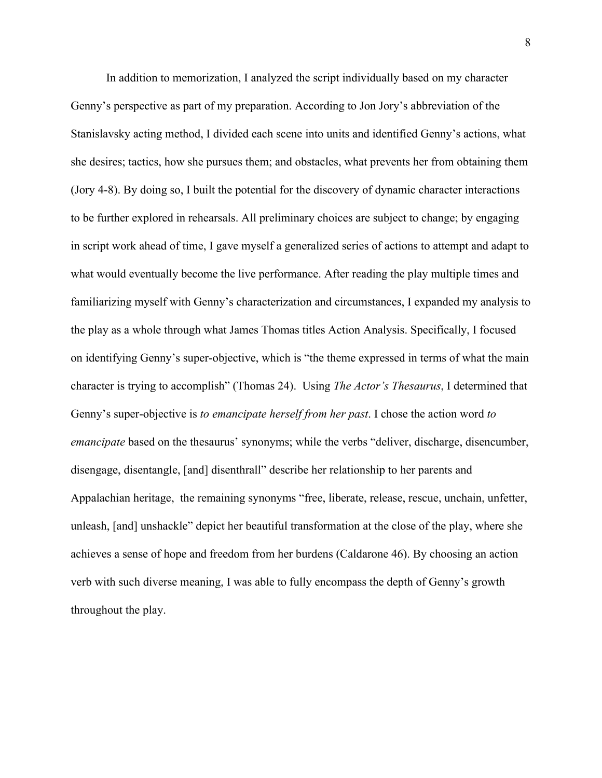In addition to memorization, I analyzed the script individually based on my character Genny's perspective as part of my preparation. According to Jon Jory's abbreviation of the Stanislavsky acting method, I divided each scene into units and identified Genny's actions, what she desires; tactics, how she pursues them; and obstacles, what prevents her from obtaining them (Jory 4-8). By doing so, I built the potential for the discovery of dynamic character interactions to be further explored in rehearsals. All preliminary choices are subject to change; by engaging in script work ahead of time, I gave myself a generalized series of actions to attempt and adapt to what would eventually become the live performance. After reading the play multiple times and familiarizing myself with Genny's characterization and circumstances, I expanded my analysis to the play as a whole through what James Thomas titles Action Analysis. Specifically, I focused on identifying Genny's super-objective, which is "the theme expressed in terms of what the main character is trying to accomplish" (Thomas 24). Using *The Actor's Thesaurus*, I determined that Genny's super-objective is *to emancipate herself from her past*. I chose the action word *to emancipate* based on the thesaurus' synonyms; while the verbs "deliver, discharge, disencumber, disengage, disentangle, [and] disenthrall" describe her relationship to her parents and Appalachian heritage, the remaining synonyms "free, liberate, release, rescue, unchain, unfetter, unleash, [and] unshackle" depict her beautiful transformation at the close of the play, where she achieves a sense of hope and freedom from her burdens (Caldarone 46). By choosing an action verb with such diverse meaning, I was able to fully encompass the depth of Genny's growth throughout the play.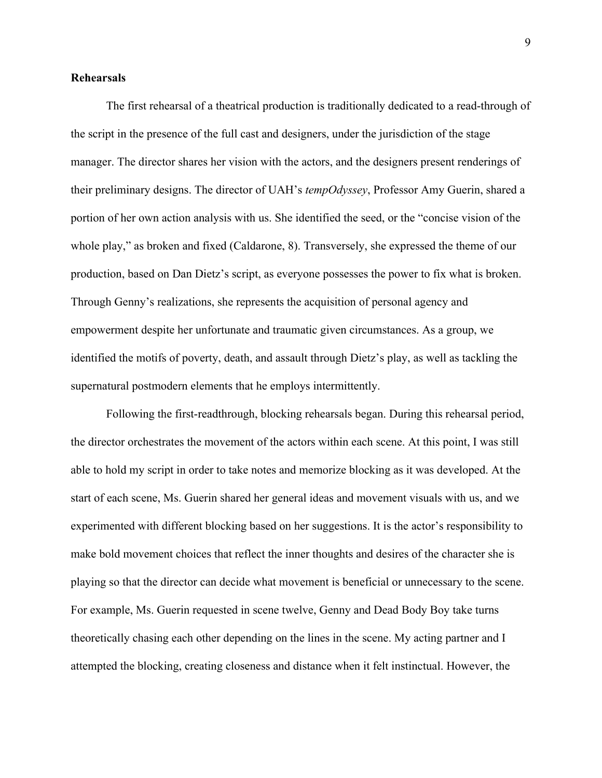#### **Rehearsals**

The first rehearsal of a theatrical production is traditionally dedicated to a read-through of the script in the presence of the full cast and designers, under the jurisdiction of the stage manager. The director shares her vision with the actors, and the designers present renderings of their preliminary designs. The director of UAH's *tempOdyssey*, Professor Amy Guerin, shared a portion of her own action analysis with us. She identified the seed, or the "concise vision of the whole play," as broken and fixed (Caldarone, 8). Transversely, she expressed the theme of our production, based on Dan Dietz's script, as everyone possesses the power to fix what is broken. Through Genny's realizations, she represents the acquisition of personal agency and empowerment despite her unfortunate and traumatic given circumstances. As a group, we identified the motifs of poverty, death, and assault through Dietz's play, as well as tackling the supernatural postmodern elements that he employs intermittently.

Following the first-readthrough, blocking rehearsals began. During this rehearsal period, the director orchestrates the movement of the actors within each scene. At this point, I was still able to hold my script in order to take notes and memorize blocking as it was developed. At the start of each scene, Ms. Guerin shared her general ideas and movement visuals with us, and we experimented with different blocking based on her suggestions. It is the actor's responsibility to make bold movement choices that reflect the inner thoughts and desires of the character she is playing so that the director can decide what movement is beneficial or unnecessary to the scene. For example, Ms. Guerin requested in scene twelve, Genny and Dead Body Boy take turns theoretically chasing each other depending on the lines in the scene. My acting partner and I attempted the blocking, creating closeness and distance when it felt instinctual. However, the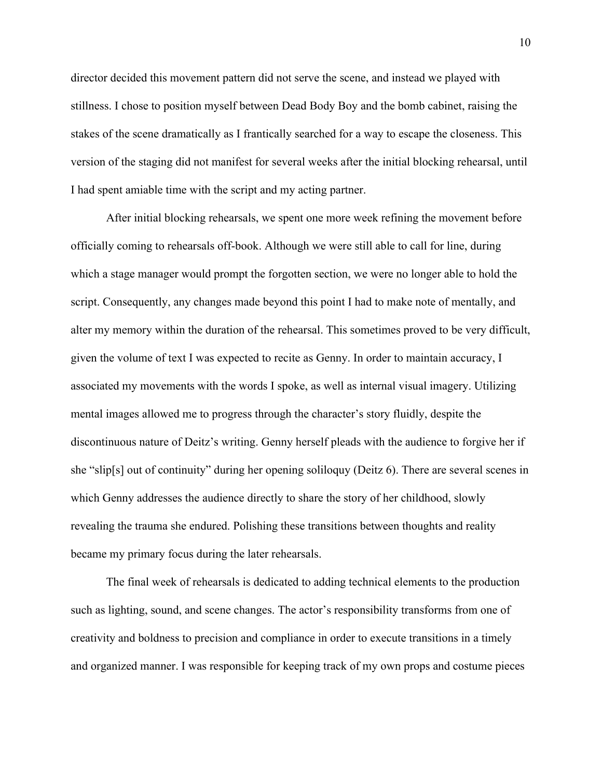director decided this movement pattern did not serve the scene, and instead we played with stillness. I chose to position myself between Dead Body Boy and the bomb cabinet, raising the stakes of the scene dramatically as I frantically searched for a way to escape the closeness. This version of the staging did not manifest for several weeks after the initial blocking rehearsal, until I had spent amiable time with the script and my acting partner.

After initial blocking rehearsals, we spent one more week refining the movement before officially coming to rehearsals off-book. Although we were still able to call for line, during which a stage manager would prompt the forgotten section, we were no longer able to hold the script. Consequently, any changes made beyond this point I had to make note of mentally, and alter my memory within the duration of the rehearsal. This sometimes proved to be very difficult, given the volume of text I was expected to recite as Genny. In order to maintain accuracy, I associated my movements with the words I spoke, as well as internal visual imagery. Utilizing mental images allowed me to progress through the character's story fluidly, despite the discontinuous nature of Deitz's writing. Genny herself pleads with the audience to forgive her if she "slip[s] out of continuity" during her opening soliloquy (Deitz 6). There are several scenes in which Genny addresses the audience directly to share the story of her childhood, slowly revealing the trauma she endured. Polishing these transitions between thoughts and reality became my primary focus during the later rehearsals.

The final week of rehearsals is dedicated to adding technical elements to the production such as lighting, sound, and scene changes. The actor's responsibility transforms from one of creativity and boldness to precision and compliance in order to execute transitions in a timely and organized manner. I was responsible for keeping track of my own props and costume pieces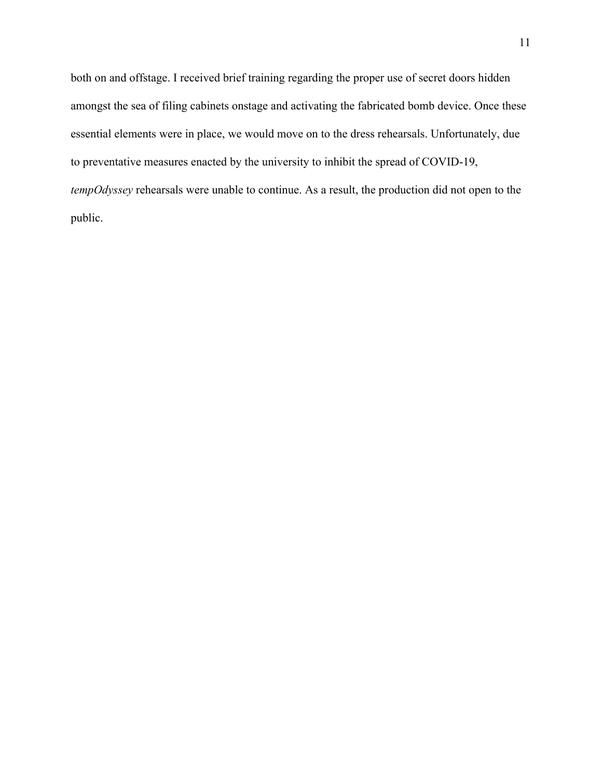both on and offstage. I received brief training regarding the proper use of secret doors hidden amongst the sea of filing cabinets onstage and activating the fabricated bomb device. Once these essential elements were in place, we would move on to the dress rehearsals. Unfortunately, due to preventative measures enacted by the university to inhibit the spread of COVID-19, *tempOdyssey* rehearsals were unable to continue. As a result, the production did not open to the public.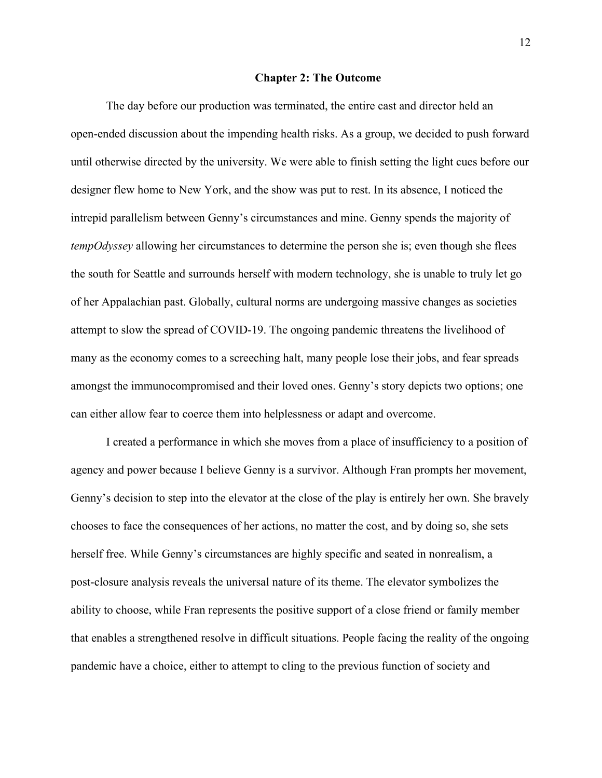#### **Chapter 2: The Outcome**

The day before our production was terminated, the entire cast and director held an open-ended discussion about the impending health risks. As a group, we decided to push forward until otherwise directed by the university. We were able to finish setting the light cues before our designer flew home to New York, and the show was put to rest. In its absence, I noticed the intrepid parallelism between Genny's circumstances and mine. Genny spends the majority of *tempOdyssey* allowing her circumstances to determine the person she is; even though she flees the south for Seattle and surrounds herself with modern technology, she is unable to truly let go of her Appalachian past. Globally, cultural norms are undergoing massive changes as societies attempt to slow the spread of COVID-19. The ongoing pandemic threatens the livelihood of many as the economy comes to a screeching halt, many people lose their jobs, and fear spreads amongst the immunocompromised and their loved ones. Genny's story depicts two options; one can either allow fear to coerce them into helplessness or adapt and overcome.

I created a performance in which she moves from a place of insufficiency to a position of agency and power because I believe Genny is a survivor. Although Fran prompts her movement, Genny's decision to step into the elevator at the close of the play is entirely her own. She bravely chooses to face the consequences of her actions, no matter the cost, and by doing so, she sets herself free. While Genny's circumstances are highly specific and seated in nonrealism, a post-closure analysis reveals the universal nature of its theme. The elevator symbolizes the ability to choose, while Fran represents the positive support of a close friend or family member that enables a strengthened resolve in difficult situations. People facing the reality of the ongoing pandemic have a choice, either to attempt to cling to the previous function of society and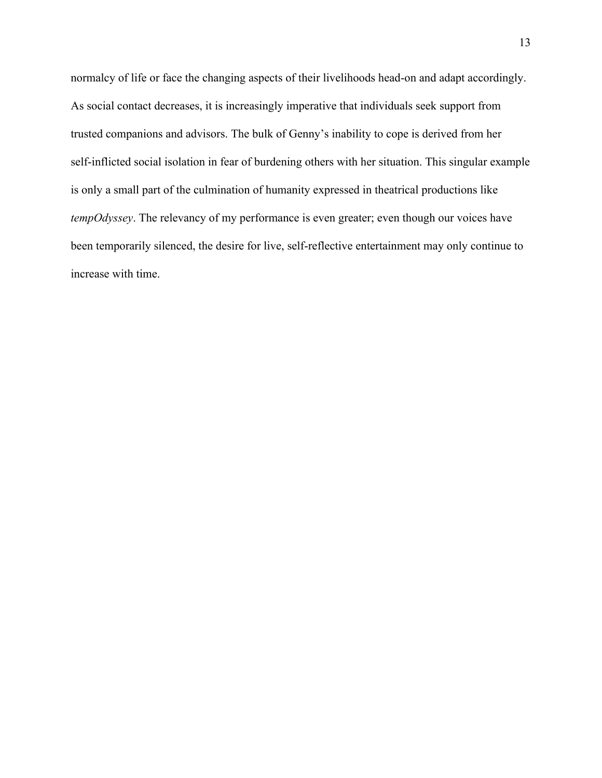normalcy of life or face the changing aspects of their livelihoods head-on and adapt accordingly. As social contact decreases, it is increasingly imperative that individuals seek support from trusted companions and advisors. The bulk of Genny's inability to cope is derived from her self-inflicted social isolation in fear of burdening others with her situation. This singular example is only a small part of the culmination of humanity expressed in theatrical productions like *tempOdyssey*. The relevancy of my performance is even greater; even though our voices have been temporarily silenced, the desire for live, self-reflective entertainment may only continue to increase with time.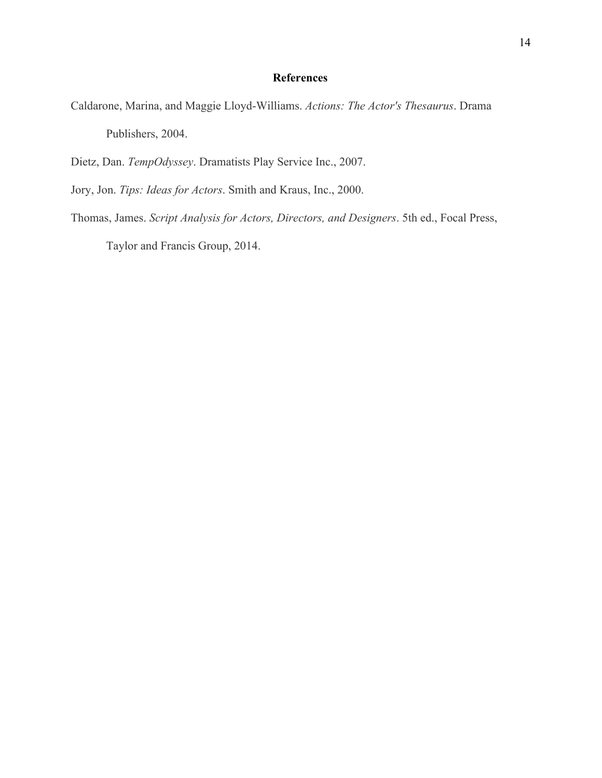#### **References**

- Caldarone, Marina, and Maggie Lloyd-Williams. *Actions: The Actor's Thesaurus*. Drama Publishers, 2004.
- Dietz, Dan. *TempOdyssey*. Dramatists Play Service Inc., 2007.
- Jory, Jon. *Tips: Ideas for Actors*. Smith and Kraus, Inc., 2000.
- Thomas, James. *Script Analysis for Actors, Directors, and Designers*. 5th ed., Focal Press,

Taylor and Francis Group, 2014.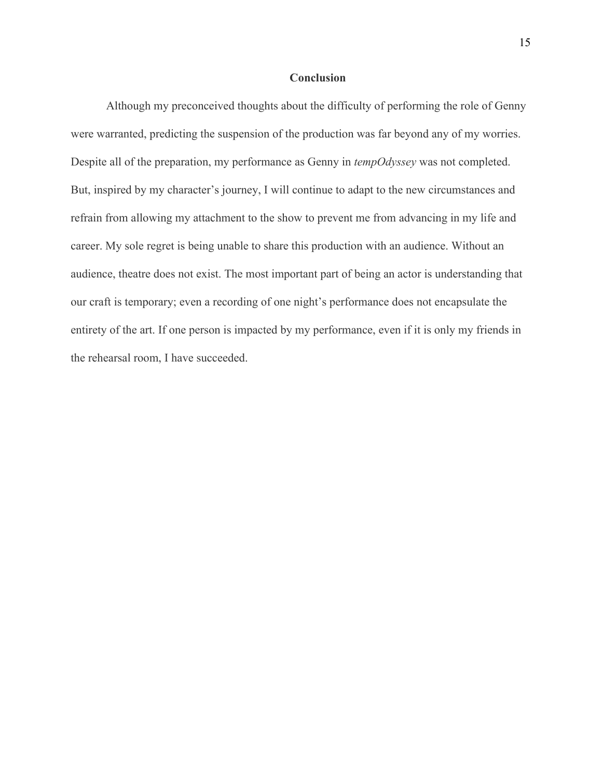#### **Conclusion**

Although my preconceived thoughts about the difficulty of performing the role of Genny were warranted, predicting the suspension of the production was far beyond any of my worries. Despite all of the preparation, my performance as Genny in *tempOdyssey* was not completed. But, inspired by my character's journey, I will continue to adapt to the new circumstances and refrain from allowing my attachment to the show to prevent me from advancing in my life and career. My sole regret is being unable to share this production with an audience. Without an audience, theatre does not exist. The most important part of being an actor is understanding that our craft is temporary; even a recording of one night's performance does not encapsulate the entirety of the art. If one person is impacted by my performance, even if it is only my friends in the rehearsal room, I have succeeded.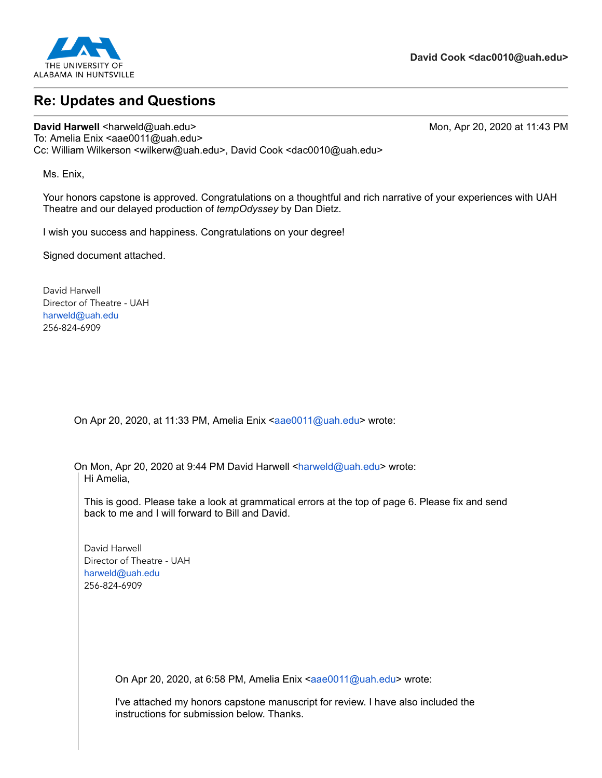

## **Re: Updates and Questions**

**David Harwell <harweld@uah.edu> Mon, Apr 20, 2020 at 11:43 PM** To: Amelia Enix <aae0011@uah.edu> Cc: William Wilkerson <wilkerw@uah.edu>, David Cook <dac0010@uah.edu>

Ms. Enix,

Your honors capstone is approved. Congratulations on a thoughtful and rich narrative of your experiences with UAH Theatre and our delayed production of *tempOdyssey* by Dan Dietz.

I wish you success and happiness. Congratulations on your degree!

Signed document attached.

David Harwell Director of Theatre - UAH [harweld@uah.edu](mailto:harweld@uah.edu) 256-824-6909

On Apr 20, 2020, at 11:33 PM, Amelia Enix [<aae0011@uah.edu>](mailto:aae0011@uah.edu) wrote:

On Mon, Apr 20, 2020 at 9:44 PM David Harwell [<harweld@uah.edu>](mailto:harweld@uah.edu) wrote: Hi Amelia,

This is good. Please take a look at grammatical errors at the top of page 6. Please fix and send back to me and I will forward to Bill and David.

David Harwell Director of Theatre - UAH [harweld@uah.edu](mailto:harweld@uah.edu) 256-824-6909

On Apr 20, 2020, at 6:58 PM, Amelia Enix [<aae0011@uah.edu>](mailto:aae0011@uah.edu) wrote:

I've attached my honors capstone manuscript for review. I have also included the instructions for submission below. Thanks.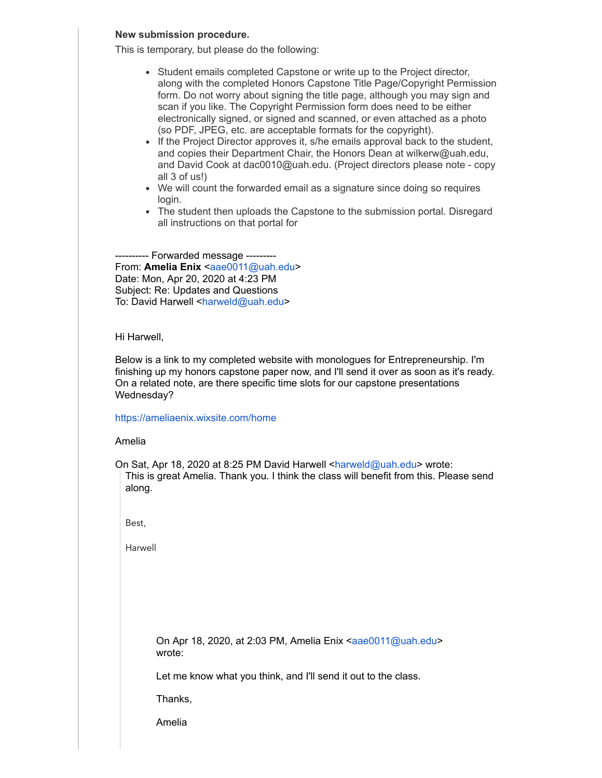#### **New submission procedure.**

This is temporary, but please do the following:

- Student emails completed Capstone or write up to the Project director, along with the completed Honors Capstone Title Page/Copyright Permission form. Do not worry about signing the title page, although you may sign and scan if you like. The Copyright Permission form does need to be either electronically signed, or signed and scanned, or even attached as a photo (so PDF, JPEG, etc. are acceptable formats for the copyright).
- If the Project Director approves it, s/he emails approval back to the student, and copies their Department Chair, the Honors Dean at [wilkerw@uah.edu,](mailto:wilkerw@uah.edu) and David Cook at [dac0010@uah.edu.](mailto:dac0010@uah.edu) (Project directors please note - copy all 3 of us!)
- We will count the forwarded email as a signature since doing so requires login.
- The student then uploads the Capstone to the submission portal. Disregard all instructions on that portal for

---------- Forwarded message --------- From: **Amelia Enix** <[aae0011@uah.edu](mailto:aae0011@uah.edu)> Date: Mon, Apr 20, 2020 at 4:23 PM Subject: Re: Updates and Questions To: David Harwell [<harweld@uah.edu](mailto:harweld@uah.edu)>

#### Hi Harwell,

Below is a link to my completed website with monologues for Entrepreneurship. I'm finishing up my honors capstone paper now, and I'll send it over as soon as it's ready. On a related note, are there specific time slots for our capstone presentations Wednesday?

#### <https://ameliaenix.wixsite.com/home>

#### Amelia

On Sat, Apr 18, 2020 at 8:25 PM David Harwell <[harweld@uah.edu](mailto:harweld@uah.edu)> wrote: This is great Amelia. Thank you. I think the class will benefit from this. Please send along.

Best,

Harwell

On Apr 18, 2020, at 2:03 PM, Amelia Enix <[aae0011@uah.edu>](mailto:aae0011@uah.edu) wrote:

Let me know what you think, and I'll send it out to the class.

Thanks,

Amelia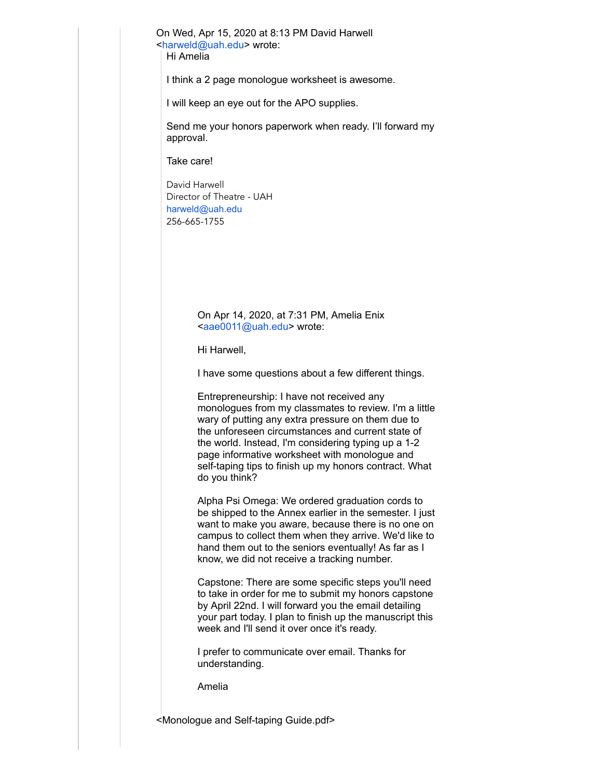On Wed, Apr 15, 2020 at 8:13 PM David Harwell [<harweld@uah.edu>](mailto:harweld@uah.edu) wrote: Hi Amelia

I think a 2 page monologue worksheet is awesome.

I will keep an eye out for the APO supplies.

Send me your honors paperwork when ready. I'll forward my approval.

Take care!

David Harwell Director of Theatre - UAH [harweld@uah.edu](mailto:harweld@uah.edu) 256-665-1755

> On Apr 14, 2020, at 7:31 PM, Amelia Enix <[aae0011@uah.edu>](mailto:aae0011@uah.edu) wrote:

Hi Harwell,

I have some questions about a few different things.

Entrepreneurship: I have not received any monologues from my classmates to review. I'm a little wary of putting any extra pressure on them due to the unforeseen circumstances and current state of the world. Instead, I'm considering typing up a 1-2 page informative worksheet with monologue and self-taping tips to finish up my honors contract. What do you think?

Alpha Psi Omega: We ordered graduation cords to be shipped to the Annex earlier in the semester. I just want to make you aware, because there is no one on campus to collect them when they arrive. We'd like to hand them out to the seniors eventually! As far as I know, we did not receive a tracking number.

Capstone: There are some specific steps you'll need to take in order for me to submit my honors capstone by April 22nd. I will forward you the email detailing your part today. I plan to finish up the manuscript this week and I'll send it over once it's ready.

I prefer to communicate over email. Thanks for understanding.

Amelia

<Monologue and Self-taping Guide.pdf>